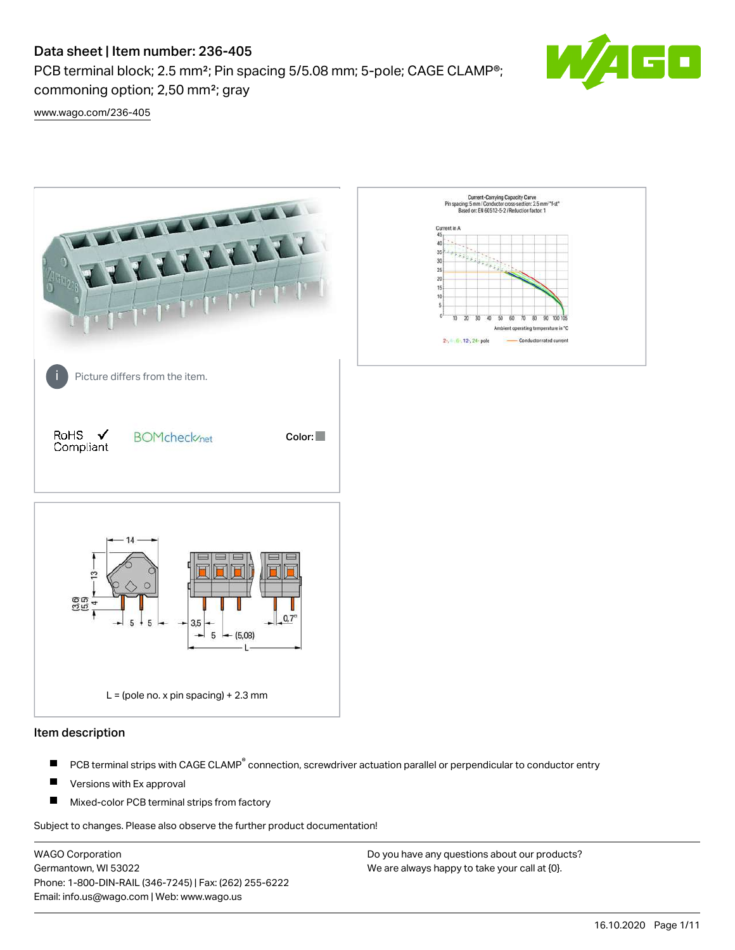PCB terminal block; 2.5 mm²; Pin spacing 5/5.08 mm; 5-pole; CAGE CLAMP®; commoning option; 2,50 mm²; gray



[www.wago.com/236-405](http://www.wago.com/236-405)



### Item description

- PCB terminal strips with CAGE CLAMP<sup>®</sup> connection, screwdriver actuation parallel or perpendicular to conductor entry П
- П Versions with Ex approval
- П Mixed-color PCB terminal strips from factory

Subject to changes. Please also observe the further product documentation!

WAGO Corporation Germantown, WI 53022 Phone: 1-800-DIN-RAIL (346-7245) | Fax: (262) 255-6222 Email: info.us@wago.com | Web: www.wago.us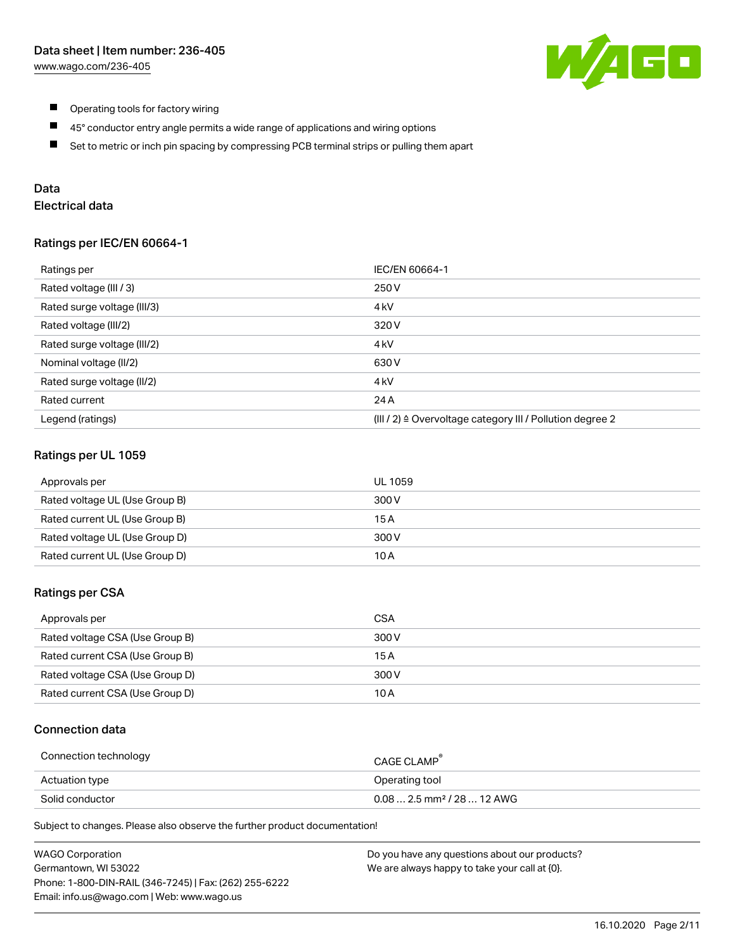

- $\blacksquare$ Operating tools for factory wiring
- $\blacksquare$ 45° conductor entry angle permits a wide range of applications and wiring options
- $\blacksquare$ Set to metric or inch pin spacing by compressing PCB terminal strips or pulling them apart

# Data

# Electrical data

### Ratings per IEC/EN 60664-1

| Ratings per                 | IEC/EN 60664-1                                                        |
|-----------------------------|-----------------------------------------------------------------------|
| Rated voltage (III / 3)     | 250 V                                                                 |
| Rated surge voltage (III/3) | 4 <sub>k</sub> V                                                      |
| Rated voltage (III/2)       | 320 V                                                                 |
| Rated surge voltage (III/2) | 4 <sub>k</sub> V                                                      |
| Nominal voltage (II/2)      | 630 V                                                                 |
| Rated surge voltage (II/2)  | 4 <sub>k</sub> V                                                      |
| Rated current               | 24 A                                                                  |
| Legend (ratings)            | $(III / 2)$ $\triangle$ Overvoltage category III / Pollution degree 2 |

### Ratings per UL 1059

| Approvals per                  | UL 1059 |
|--------------------------------|---------|
| Rated voltage UL (Use Group B) | 300 V   |
| Rated current UL (Use Group B) | 15 A    |
| Rated voltage UL (Use Group D) | 300 V   |
| Rated current UL (Use Group D) | 10 A    |

### Ratings per CSA

| Approvals per                   | CSA   |
|---------------------------------|-------|
| Rated voltage CSA (Use Group B) | 300 V |
| Rated current CSA (Use Group B) | 15 A  |
| Rated voltage CSA (Use Group D) | 300 V |
| Rated current CSA (Use Group D) | 10 A  |

## Connection data

| Connection technology | CAGE CLAMP                              |
|-----------------------|-----------------------------------------|
| Actuation type        | Operating tool                          |
| Solid conductor       | $0.08$ 2.5 mm <sup>2</sup> / 28  12 AWG |

Subject to changes. Please also observe the further product documentation!

| <b>WAGO Corporation</b>                                | Do you have any questions about our products? |
|--------------------------------------------------------|-----------------------------------------------|
| Germantown, WI 53022                                   | We are always happy to take your call at {0}. |
| Phone: 1-800-DIN-RAIL (346-7245)   Fax: (262) 255-6222 |                                               |
| Email: info.us@wago.com   Web: www.wago.us             |                                               |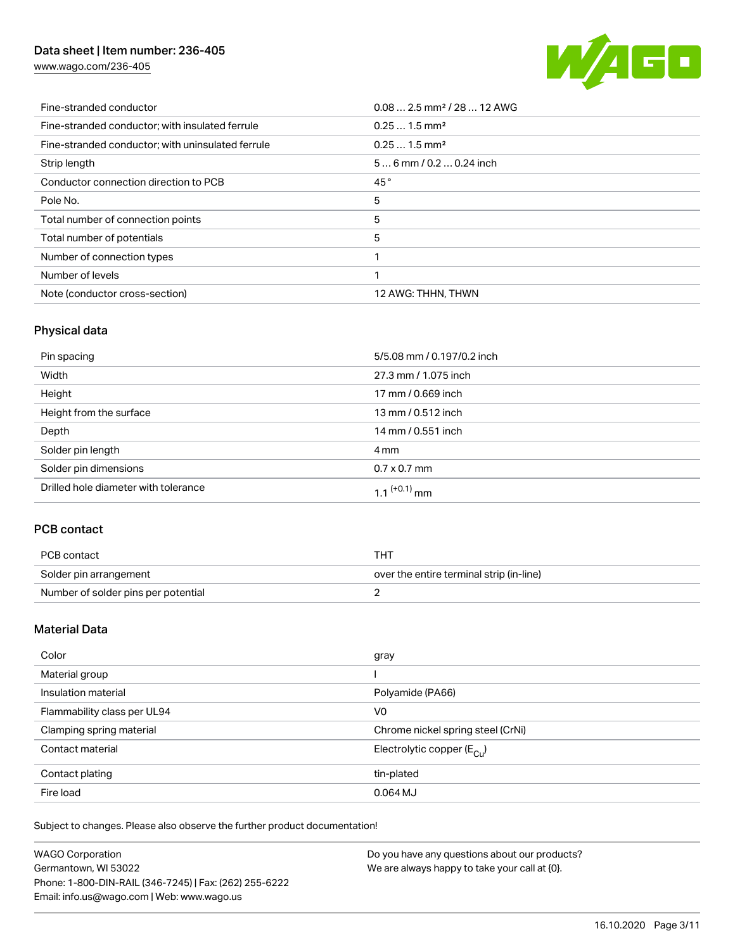[www.wago.com/236-405](http://www.wago.com/236-405)



| Fine-stranded conductor                           | $0.08$ 2.5 mm <sup>2</sup> / 28  12 AWG |
|---------------------------------------------------|-----------------------------------------|
| Fine-stranded conductor; with insulated ferrule   | $0.251.5$ mm <sup>2</sup>               |
| Fine-stranded conductor; with uninsulated ferrule | $0.251.5$ mm <sup>2</sup>               |
| Strip length                                      | $56$ mm / 0.2  0.24 inch                |
| Conductor connection direction to PCB             | 45°                                     |
| Pole No.                                          | 5                                       |
| Total number of connection points                 | 5                                       |
| Total number of potentials                        | 5                                       |
| Number of connection types                        |                                         |
| Number of levels                                  |                                         |
| Note (conductor cross-section)                    | 12 AWG: THHN, THWN                      |

# Physical data

| Pin spacing                          | 5/5.08 mm / 0.197/0.2 inch |
|--------------------------------------|----------------------------|
| Width                                | 27.3 mm / 1.075 inch       |
| Height                               | 17 mm / 0.669 inch         |
| Height from the surface              | 13 mm / 0.512 inch         |
| Depth                                | 14 mm / 0.551 inch         |
| Solder pin length                    | 4 mm                       |
| Solder pin dimensions                | $0.7 \times 0.7$ mm        |
| Drilled hole diameter with tolerance | $1.1$ <sup>(+0.1)</sup> mm |

# PCB contact

| PCB contact                         | тнт                                      |
|-------------------------------------|------------------------------------------|
| Solder pin arrangement              | over the entire terminal strip (in-line) |
| Number of solder pins per potential |                                          |

# Material Data

| Color                       | gray                                   |
|-----------------------------|----------------------------------------|
| Material group              |                                        |
| Insulation material         | Polyamide (PA66)                       |
| Flammability class per UL94 | V <sub>0</sub>                         |
| Clamping spring material    | Chrome nickel spring steel (CrNi)      |
| Contact material            | Electrolytic copper $(E_{\text{CII}})$ |
| Contact plating             | tin-plated                             |
| Fire load                   | 0.064 MJ                               |

Subject to changes. Please also observe the further product documentation!

| <b>WAGO Corporation</b>                                | Do you have any questions about our products? |
|--------------------------------------------------------|-----------------------------------------------|
| Germantown, WI 53022                                   | We are always happy to take your call at {0}. |
| Phone: 1-800-DIN-RAIL (346-7245)   Fax: (262) 255-6222 |                                               |
| Email: info.us@wago.com   Web: www.wago.us             |                                               |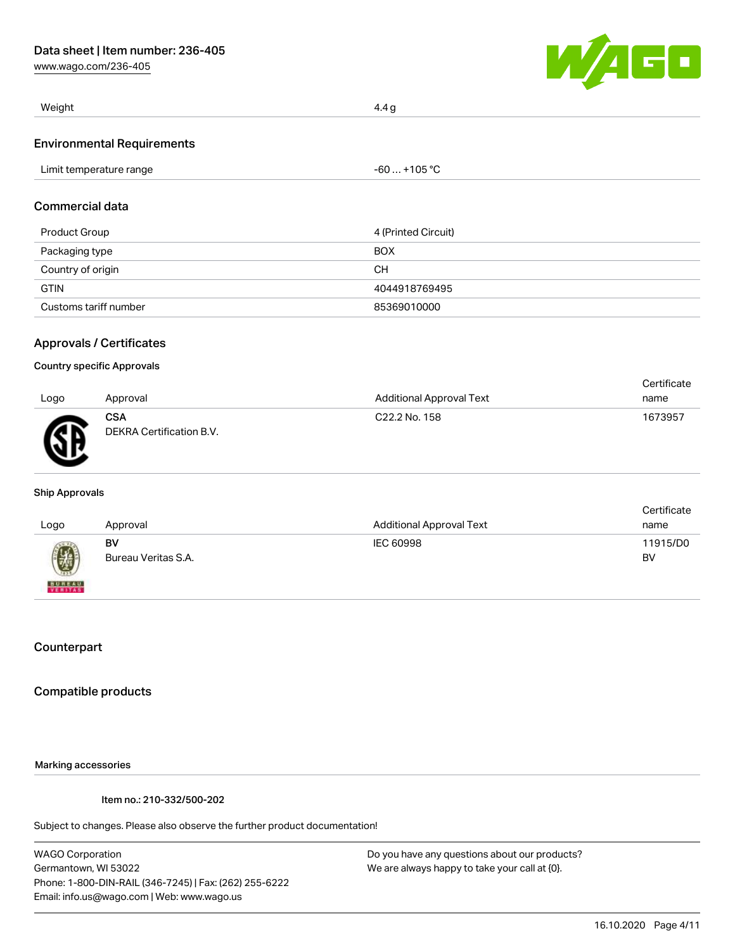[www.wago.com/236-405](http://www.wago.com/236-405)



| Weight                            | 4.4 g        |
|-----------------------------------|--------------|
| <b>Environmental Requirements</b> |              |
| Limit temperature range           | -60  +105 °C |
|                                   |              |

# Commercial data

| Product Group         | 4 (Printed Circuit) |
|-----------------------|---------------------|
| Packaging type        | <b>BOX</b>          |
| Country of origin     | CН                  |
| <b>GTIN</b>           | 4044918769495       |
| Customs tariff number | 85369010000         |

## Approvals / Certificates

#### Country specific Approvals

|      |                                        |                           | Certificate |
|------|----------------------------------------|---------------------------|-------------|
| Logo | Approval                               | Additional Approval Text  | name        |
| AR.  | <b>CSA</b><br>DEKRA Certification B.V. | C <sub>22.2</sub> No. 158 | 1673957     |

#### Ship Approvals

| Logo                     | Approval                  | <b>Additional Approval Text</b> | Certificate<br>name |
|--------------------------|---------------------------|---------------------------------|---------------------|
|                          | BV<br>Bureau Veritas S.A. | IEC 60998                       | 11915/D0<br>BV      |
| <b>BUREAU</b><br>VERITAS |                           |                                 |                     |

## **Counterpart**

### Compatible products

### Marking accessories

Item no.: 210-332/500-202

Subject to changes. Please also observe the further product documentation!

WAGO Corporation Germantown, WI 53022 Phone: 1-800-DIN-RAIL (346-7245) | Fax: (262) 255-6222 Email: info.us@wago.com | Web: www.wago.us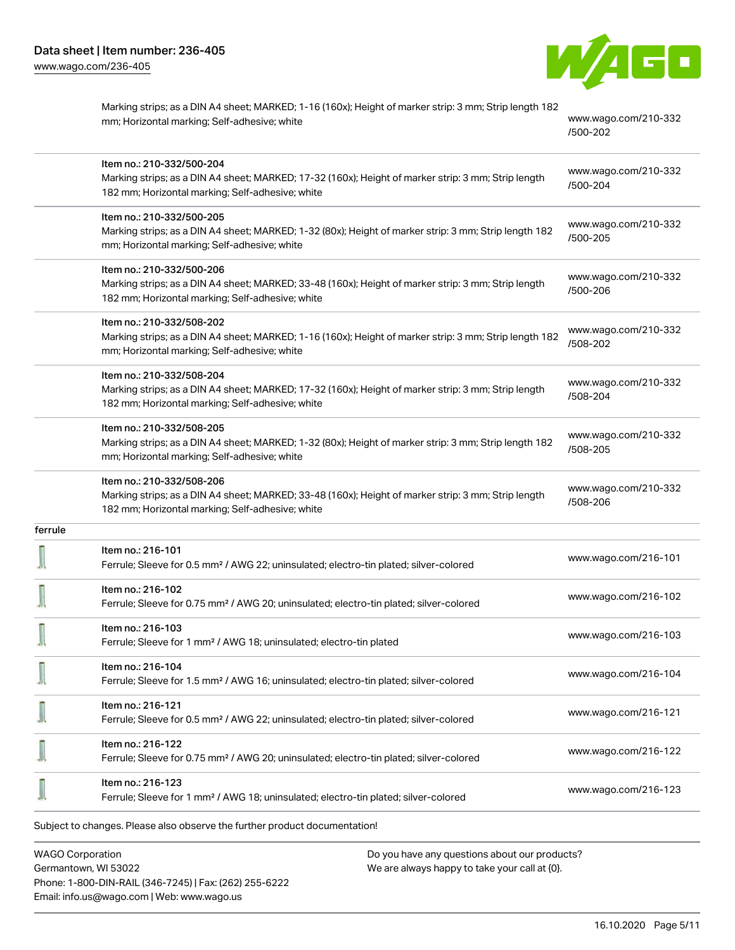

|         | Marking strips; as a DIN A4 sheet; MARKED; 1-16 (160x); Height of marker strip: 3 mm; Strip length 182<br>mm; Horizontal marking; Self-adhesive; white                               | www.wago.com/210-332<br>/500-202 |
|---------|--------------------------------------------------------------------------------------------------------------------------------------------------------------------------------------|----------------------------------|
|         | Item no.: 210-332/500-204                                                                                                                                                            | www.wago.com/210-332             |
|         | Marking strips; as a DIN A4 sheet; MARKED; 17-32 (160x); Height of marker strip: 3 mm; Strip length<br>182 mm; Horizontal marking; Self-adhesive; white                              | /500-204                         |
|         | Item no.: 210-332/500-205                                                                                                                                                            |                                  |
|         | Marking strips; as a DIN A4 sheet; MARKED; 1-32 (80x); Height of marker strip: 3 mm; Strip length 182<br>mm; Horizontal marking; Self-adhesive; white                                | www.wago.com/210-332<br>/500-205 |
|         | Item no.: 210-332/500-206                                                                                                                                                            | www.wago.com/210-332             |
|         | Marking strips; as a DIN A4 sheet; MARKED; 33-48 (160x); Height of marker strip: 3 mm; Strip length<br>182 mm; Horizontal marking; Self-adhesive; white                              | /500-206                         |
|         | Item no.: 210-332/508-202                                                                                                                                                            | www.wago.com/210-332             |
|         | Marking strips; as a DIN A4 sheet; MARKED; 1-16 (160x); Height of marker strip: 3 mm; Strip length 182<br>mm; Horizontal marking; Self-adhesive; white                               | /508-202                         |
|         | Item no.: 210-332/508-204                                                                                                                                                            | www.wago.com/210-332             |
|         | Marking strips; as a DIN A4 sheet; MARKED; 17-32 (160x); Height of marker strip: 3 mm; Strip length<br>182 mm; Horizontal marking; Self-adhesive; white                              | /508-204                         |
|         | Item no.: 210-332/508-205                                                                                                                                                            | www.wago.com/210-332             |
|         | Marking strips; as a DIN A4 sheet; MARKED; 1-32 (80x); Height of marker strip: 3 mm; Strip length 182<br>mm; Horizontal marking; Self-adhesive; white                                | /508-205                         |
|         | Item no.: 210-332/508-206<br>Marking strips; as a DIN A4 sheet; MARKED; 33-48 (160x); Height of marker strip: 3 mm; Strip length<br>182 mm; Horizontal marking; Self-adhesive; white | www.wago.com/210-332<br>/508-206 |
| ferrule |                                                                                                                                                                                      |                                  |
|         | Item no.: 216-101<br>Ferrule; Sleeve for 0.5 mm <sup>2</sup> / AWG 22; uninsulated; electro-tin plated; silver-colored                                                               | www.wago.com/216-101             |
|         | Item no.: 216-102<br>Ferrule; Sleeve for 0.75 mm <sup>2</sup> / AWG 20; uninsulated; electro-tin plated; silver-colored                                                              | www.wago.com/216-102             |
| -475    | Item no.: 216-103<br>Ferrule; Sleeve for 1 mm <sup>2</sup> / AWG 18; uninsulated; electro-tin plated                                                                                 | www.wago.com/216-103             |
|         | Item no.: 216-104<br>Ferrule; Sleeve for 1.5 mm <sup>2</sup> / AWG 16; uninsulated; electro-tin plated; silver-colored                                                               | www.wago.com/216-104             |
|         | Item no.: 216-121<br>Ferrule; Sleeve for 0.5 mm <sup>2</sup> / AWG 22; uninsulated; electro-tin plated; silver-colored                                                               | www.wago.com/216-121             |
|         |                                                                                                                                                                                      |                                  |
|         | Item no.: 216-122<br>Ferrule; Sleeve for 0.75 mm <sup>2</sup> / AWG 20; uninsulated; electro-tin plated; silver-colored                                                              | www.wago.com/216-122             |
|         | Item no.: 216-123<br>Ferrule; Sleeve for 1 mm <sup>2</sup> / AWG 18; uninsulated; electro-tin plated; silver-colored                                                                 | www.wago.com/216-123             |
|         | Subject to changes. Please also observe the further product documentation!                                                                                                           |                                  |
|         |                                                                                                                                                                                      |                                  |

WAGO Corporation Germantown, WI 53022 Phone: 1-800-DIN-RAIL (346-7245) | Fax: (262) 255-6222 Email: info.us@wago.com | Web: www.wago.us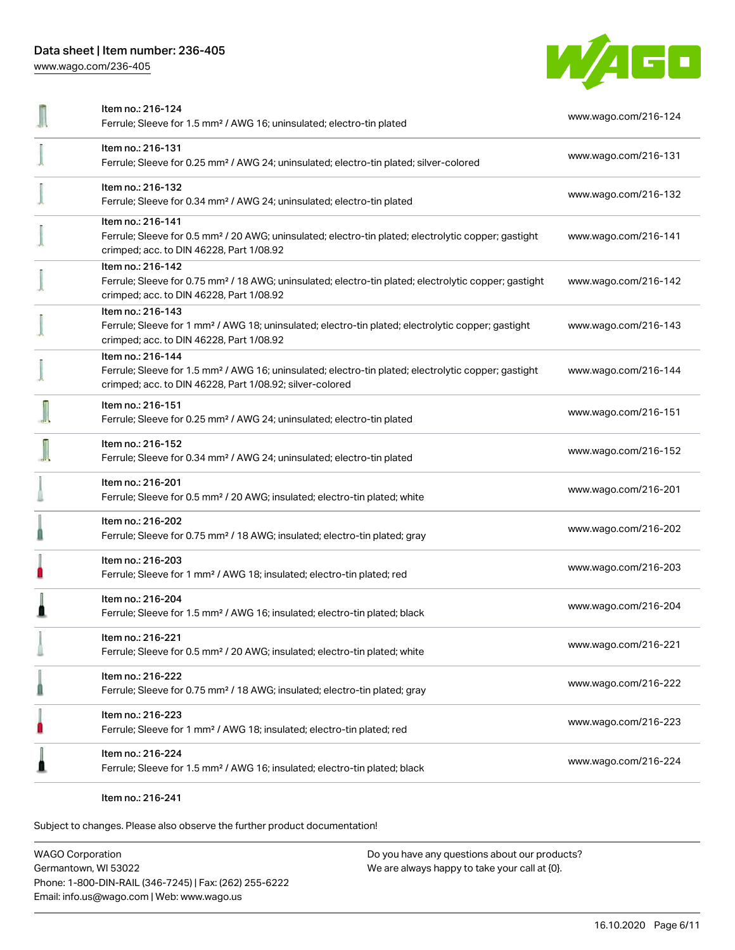[www.wago.com/236-405](http://www.wago.com/236-405)



| Item no.: 216-124                                                                                                                                                            |                      |  |
|------------------------------------------------------------------------------------------------------------------------------------------------------------------------------|----------------------|--|
| Ferrule; Sleeve for 1.5 mm <sup>2</sup> / AWG 16; uninsulated; electro-tin plated                                                                                            | www.wago.com/216-124 |  |
| Item no.: 216-131                                                                                                                                                            |                      |  |
| Ferrule; Sleeve for 0.25 mm <sup>2</sup> / AWG 24; uninsulated; electro-tin plated; silver-colored                                                                           | www.wago.com/216-131 |  |
| Item no.: 216-132                                                                                                                                                            | www.wago.com/216-132 |  |
| Ferrule; Sleeve for 0.34 mm <sup>2</sup> / AWG 24; uninsulated; electro-tin plated                                                                                           |                      |  |
| Item no.: 216-141                                                                                                                                                            |                      |  |
| Ferrule; Sleeve for 0.5 mm <sup>2</sup> / 20 AWG; uninsulated; electro-tin plated; electrolytic copper; gastight<br>crimped; acc. to DIN 46228, Part 1/08.92                 | www.wago.com/216-141 |  |
| Item no.: 216-142                                                                                                                                                            |                      |  |
| Ferrule; Sleeve for 0.75 mm <sup>2</sup> / 18 AWG; uninsulated; electro-tin plated; electrolytic copper; gastight<br>crimped; acc. to DIN 46228, Part 1/08.92                | www.wago.com/216-142 |  |
| Item no.: 216-143                                                                                                                                                            |                      |  |
| Ferrule; Sleeve for 1 mm <sup>2</sup> / AWG 18; uninsulated; electro-tin plated; electrolytic copper; gastight<br>crimped; acc. to DIN 46228, Part 1/08.92                   | www.wago.com/216-143 |  |
| Item no.: 216-144                                                                                                                                                            |                      |  |
| Ferrule; Sleeve for 1.5 mm <sup>2</sup> / AWG 16; uninsulated; electro-tin plated; electrolytic copper; gastight<br>crimped; acc. to DIN 46228, Part 1/08.92; silver-colored | www.wago.com/216-144 |  |
| Item no.: 216-151                                                                                                                                                            |                      |  |
| Ferrule; Sleeve for 0.25 mm <sup>2</sup> / AWG 24; uninsulated; electro-tin plated                                                                                           | www.wago.com/216-151 |  |
| Item no.: 216-152                                                                                                                                                            | www.wago.com/216-152 |  |
| Ferrule; Sleeve for 0.34 mm <sup>2</sup> / AWG 24; uninsulated; electro-tin plated                                                                                           |                      |  |
| Item no.: 216-201                                                                                                                                                            |                      |  |
| Ferrule; Sleeve for 0.5 mm <sup>2</sup> / 20 AWG; insulated; electro-tin plated; white                                                                                       | www.wago.com/216-201 |  |
| Item no.: 216-202                                                                                                                                                            |                      |  |
| Ferrule; Sleeve for 0.75 mm <sup>2</sup> / 18 AWG; insulated; electro-tin plated; gray                                                                                       | www.wago.com/216-202 |  |
| Item no.: 216-203                                                                                                                                                            | www.wago.com/216-203 |  |
| Ferrule; Sleeve for 1 mm <sup>2</sup> / AWG 18; insulated; electro-tin plated; red                                                                                           |                      |  |
| Item no.: 216-204                                                                                                                                                            |                      |  |
| Ferrule; Sleeve for 1.5 mm <sup>2</sup> / AWG 16; insulated; electro-tin plated; black                                                                                       | www.wago.com/216-204 |  |
| ltem no.: 216-221                                                                                                                                                            |                      |  |
| Ferrule; Sleeve for 0.5 mm <sup>2</sup> / 20 AWG; insulated; electro-tin plated; white                                                                                       | www.wago.com/216-221 |  |
| Item no.: 216-222                                                                                                                                                            | www.wago.com/216-222 |  |
| Ferrule; Sleeve for 0.75 mm <sup>2</sup> / 18 AWG; insulated; electro-tin plated; gray                                                                                       |                      |  |
| Item no.: 216-223                                                                                                                                                            | www.wago.com/216-223 |  |
| Ferrule; Sleeve for 1 mm <sup>2</sup> / AWG 18; insulated; electro-tin plated; red                                                                                           |                      |  |
| Item no.: 216-224                                                                                                                                                            |                      |  |
| Ferrule; Sleeve for 1.5 mm <sup>2</sup> / AWG 16; insulated; electro-tin plated; black                                                                                       | www.wago.com/216-224 |  |
|                                                                                                                                                                              |                      |  |

Item no.: 216-241

Subject to changes. Please also observe the further product documentation!

WAGO Corporation Germantown, WI 53022 Phone: 1-800-DIN-RAIL (346-7245) | Fax: (262) 255-6222 Email: info.us@wago.com | Web: www.wago.us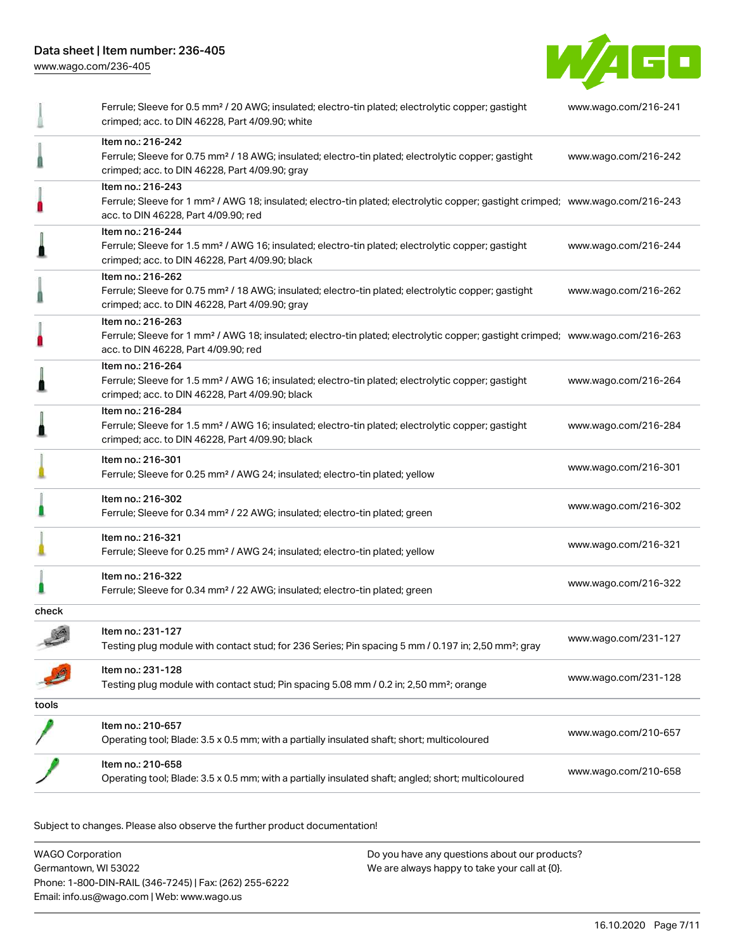[www.wago.com/236-405](http://www.wago.com/236-405)



|              | Operating tool; Blade: 3.5 x 0.5 mm; with a partially insulated shaft; angled; short; multicoloured                                                                                                     | www.wago.com/210-658 |
|--------------|---------------------------------------------------------------------------------------------------------------------------------------------------------------------------------------------------------|----------------------|
|              | Item no.: 210-658                                                                                                                                                                                       |                      |
|              | Item no.: 210-657<br>Operating tool; Blade: 3.5 x 0.5 mm; with a partially insulated shaft; short; multicoloured                                                                                        | www.wago.com/210-657 |
| tools        |                                                                                                                                                                                                         |                      |
|              | Item no.: 231-128<br>Testing plug module with contact stud; Pin spacing 5.08 mm / 0.2 in; 2,50 mm <sup>2</sup> ; orange                                                                                 | www.wago.com/231-128 |
| $\mathbf{A}$ | Item no.: 231-127<br>Testing plug module with contact stud; for 236 Series; Pin spacing 5 mm / 0.197 in; 2,50 mm <sup>2</sup> ; gray                                                                    | www.wago.com/231-127 |
| check        |                                                                                                                                                                                                         |                      |
|              | Item no.: 216-322<br>Ferrule; Sleeve for 0.34 mm <sup>2</sup> / 22 AWG; insulated; electro-tin plated; green                                                                                            | www.wago.com/216-322 |
|              | Item no.: 216-321<br>Ferrule; Sleeve for 0.25 mm <sup>2</sup> / AWG 24; insulated; electro-tin plated; yellow                                                                                           | www.wago.com/216-321 |
|              | Item no.: 216-302<br>Ferrule; Sleeve for 0.34 mm <sup>2</sup> / 22 AWG; insulated; electro-tin plated; green                                                                                            | www.wago.com/216-302 |
|              | Item no.: 216-301<br>Ferrule; Sleeve for 0.25 mm <sup>2</sup> / AWG 24; insulated; electro-tin plated; yellow                                                                                           | www.wago.com/216-301 |
|              | Item no.: 216-284<br>Ferrule; Sleeve for 1.5 mm <sup>2</sup> / AWG 16; insulated; electro-tin plated; electrolytic copper; gastight<br>crimped; acc. to DIN 46228, Part 4/09.90; black                  | www.wago.com/216-284 |
|              | Item no.: 216-264<br>Ferrule; Sleeve for 1.5 mm <sup>2</sup> / AWG 16; insulated; electro-tin plated; electrolytic copper; gastight<br>crimped; acc. to DIN 46228, Part 4/09.90; black                  | www.wago.com/216-264 |
|              | Item no.: 216-263<br>Ferrule; Sleeve for 1 mm <sup>2</sup> / AWG 18; insulated; electro-tin plated; electrolytic copper; gastight crimped; www.wago.com/216-263<br>acc. to DIN 46228, Part 4/09.90; red |                      |
|              | Item no.: 216-262<br>Ferrule; Sleeve for 0.75 mm <sup>2</sup> / 18 AWG; insulated; electro-tin plated; electrolytic copper; gastight<br>crimped; acc. to DIN 46228, Part 4/09.90; gray                  | www.wago.com/216-262 |
|              | Item no.: 216-244<br>Ferrule; Sleeve for 1.5 mm <sup>2</sup> / AWG 16; insulated; electro-tin plated; electrolytic copper; gastight<br>crimped; acc. to DIN 46228, Part 4/09.90; black                  | www.wago.com/216-244 |
|              | Item no.: 216-243<br>Ferrule; Sleeve for 1 mm <sup>2</sup> / AWG 18; insulated; electro-tin plated; electrolytic copper; gastight crimped; www.wago.com/216-243<br>acc. to DIN 46228, Part 4/09.90; red |                      |
|              | Item no.: 216-242<br>Ferrule; Sleeve for 0.75 mm <sup>2</sup> / 18 AWG; insulated; electro-tin plated; electrolytic copper; gastight<br>crimped; acc. to DIN 46228, Part 4/09.90; gray                  | www.wago.com/216-242 |
|              | Ferrule; Sleeve for 0.5 mm <sup>2</sup> / 20 AWG; insulated; electro-tin plated; electrolytic copper; gastight<br>crimped; acc. to DIN 46228, Part 4/09.90; white                                       | www.wago.com/216-241 |

Subject to changes. Please also observe the further product documentation!

WAGO Corporation Germantown, WI 53022 Phone: 1-800-DIN-RAIL (346-7245) | Fax: (262) 255-6222 Email: info.us@wago.com | Web: www.wago.us Do you have any questions about our products? We are always happy to take your call at {0}.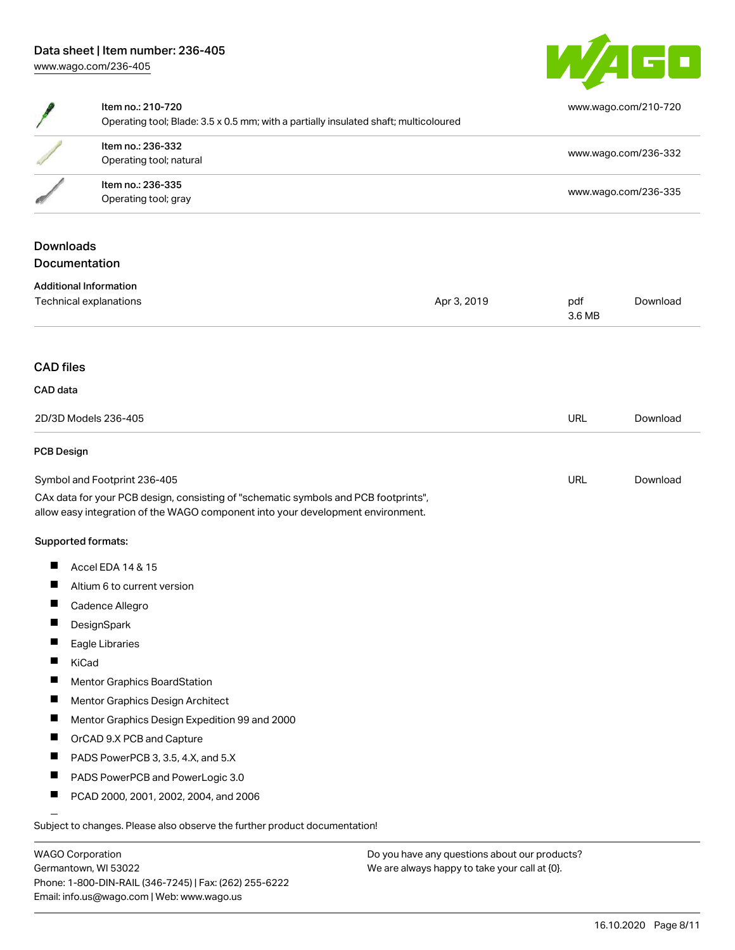

|                      | Item no.: 210-720<br>Operating tool; Blade: 3.5 x 0.5 mm; with a partially insulated shaft; multicoloured                                                              |             |               | www.wago.com/210-720 |  |
|----------------------|------------------------------------------------------------------------------------------------------------------------------------------------------------------------|-------------|---------------|----------------------|--|
|                      | Item no.: 236-332<br>Operating tool; natural                                                                                                                           |             |               | www.wago.com/236-332 |  |
|                      | Item no.: 236-335<br>Operating tool; gray                                                                                                                              |             |               | www.wago.com/236-335 |  |
|                      | <b>Downloads</b>                                                                                                                                                       |             |               |                      |  |
|                      | Documentation                                                                                                                                                          |             |               |                      |  |
|                      | <b>Additional Information</b>                                                                                                                                          |             |               |                      |  |
|                      | Technical explanations                                                                                                                                                 | Apr 3, 2019 | pdf<br>3.6 MB | Download             |  |
| <b>CAD</b> files     |                                                                                                                                                                        |             |               |                      |  |
| CAD data             |                                                                                                                                                                        |             |               |                      |  |
| 2D/3D Models 236-405 |                                                                                                                                                                        | <b>URL</b>  | Download      |                      |  |
| <b>PCB Design</b>    |                                                                                                                                                                        |             |               |                      |  |
|                      | Symbol and Footprint 236-405                                                                                                                                           |             | <b>URL</b>    | Download             |  |
|                      | CAx data for your PCB design, consisting of "schematic symbols and PCB footprints",<br>allow easy integration of the WAGO component into your development environment. |             |               |                      |  |
|                      | Supported formats:                                                                                                                                                     |             |               |                      |  |
| H                    | Accel EDA 14 & 15                                                                                                                                                      |             |               |                      |  |
| Н                    | Altium 6 to current version                                                                                                                                            |             |               |                      |  |
| H                    | Cadence Allegro                                                                                                                                                        |             |               |                      |  |
| Ш                    | DesignSpark                                                                                                                                                            |             |               |                      |  |
|                      | Eagle Libraries                                                                                                                                                        |             |               |                      |  |
|                      | KiCad                                                                                                                                                                  |             |               |                      |  |
| <b>I</b>             | Mentor Graphics BoardStation                                                                                                                                           |             |               |                      |  |
|                      | Mentor Graphics Design Architect                                                                                                                                       |             |               |                      |  |
| $\blacksquare$       | Mentor Graphics Design Expedition 99 and 2000                                                                                                                          |             |               |                      |  |
| П                    | OrCAD 9.X PCB and Capture                                                                                                                                              |             |               |                      |  |
|                      | PADS PowerPCB 3, 3.5, 4.X, and 5.X                                                                                                                                     |             |               |                      |  |
| ш                    | PADS PowerPCB and PowerLogic 3.0                                                                                                                                       |             |               |                      |  |
| H                    | PCAD 2000, 2001, 2002, 2004, and 2006                                                                                                                                  |             |               |                      |  |
|                      | Subject to changes. Please also observe the further product documentation!                                                                                             |             |               |                      |  |

WAGO Corporation Germantown, WI 53022 Phone: 1-800-DIN-RAIL (346-7245) | Fax: (262) 255-6222 Email: info.us@wago.com | Web: www.wago.us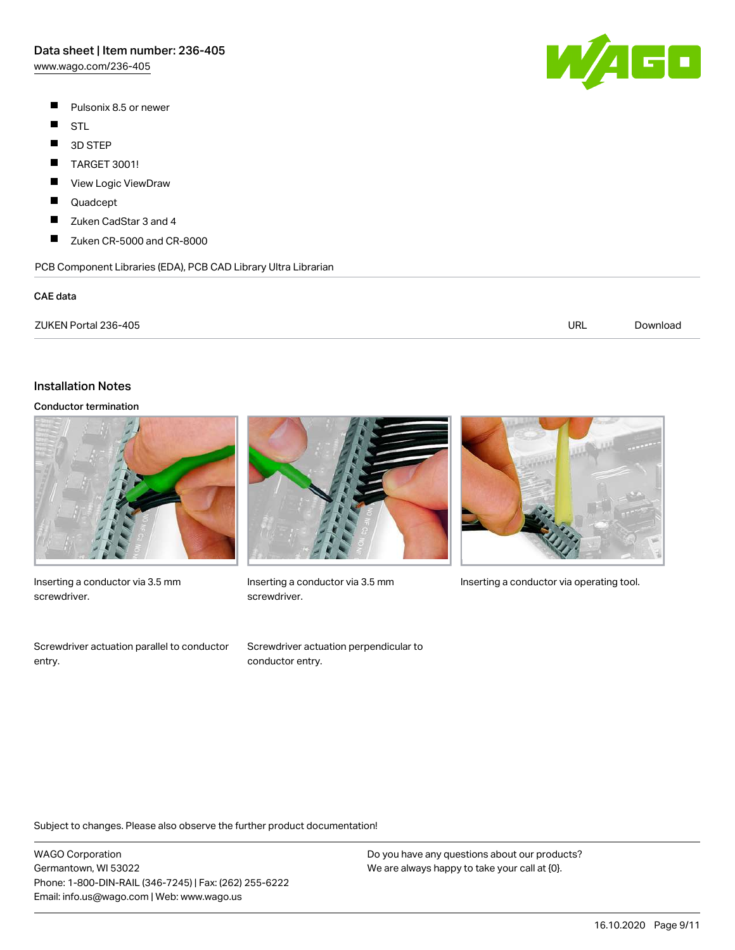[www.wago.com/236-405](http://www.wago.com/236-405)

- $\blacksquare$ Pulsonix 8.5 or newer
- $\blacksquare$ STL
- $\blacksquare$ 3D STEP
- $\blacksquare$ TARGET 3001!
- П View Logic ViewDraw
- П Quadcept
- $\blacksquare$ Zuken CadStar 3 and 4
- $\blacksquare$ Zuken CR-5000 and CR-8000

PCB Component Libraries (EDA), PCB CAD Library Ultra Librarian

#### CAE data

| ZUKEN Portal 236-405 | URL | Download |
|----------------------|-----|----------|
|                      |     |          |

### Installation Notes

### Conductor termination



Inserting a conductor via 3.5 mm screwdriver.

Screwdriver actuation parallel to conductor entry.



screwdriver.

Screwdriver actuation perpendicular to conductor entry.



Inserting a conductor via 3.5 mm Inserting a conductor via operating tool.

Subject to changes. Please also observe the further product documentation!

WAGO Corporation Germantown, WI 53022 Phone: 1-800-DIN-RAIL (346-7245) | Fax: (262) 255-6222 Email: info.us@wago.com | Web: www.wago.us

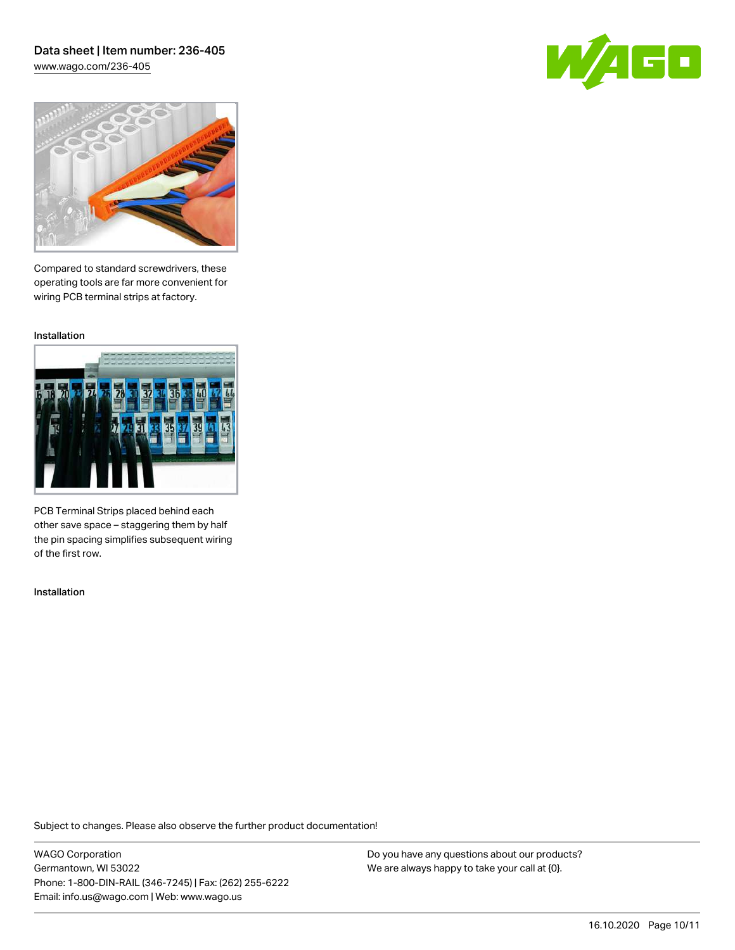## Data sheet | Item number: 236-405 [www.wago.com/236-405](http://www.wago.com/236-405)

GO



Compared to standard screwdrivers, these operating tools are far more convenient for wiring PCB terminal strips at factory.

Installation



PCB Terminal Strips placed behind each other save space – staggering them by half the pin spacing simplifies subsequent wiring of the first row.

Installation

Subject to changes. Please also observe the further product documentation!

WAGO Corporation Germantown, WI 53022 Phone: 1-800-DIN-RAIL (346-7245) | Fax: (262) 255-6222 Email: info.us@wago.com | Web: www.wago.us